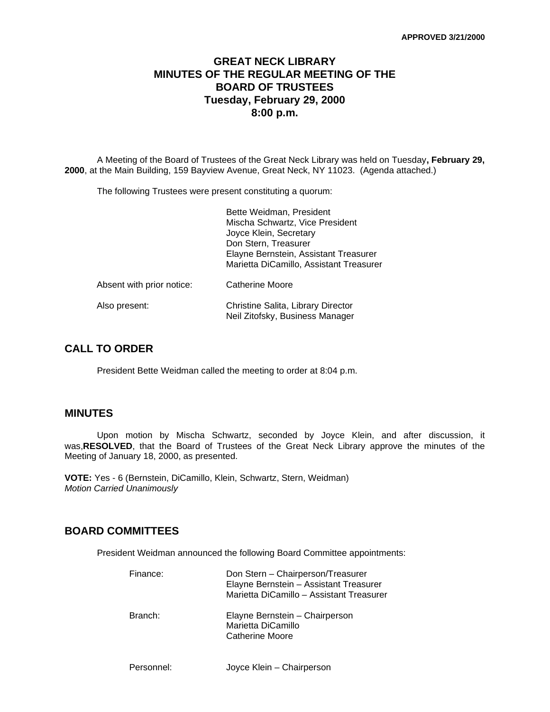# **GREAT NECK LIBRARY MINUTES OF THE REGULAR MEETING OF THE BOARD OF TRUSTEES Tuesday, February 29, 2000 8:00 p.m.**

A Meeting of the Board of Trustees of the Great Neck Library was held on Tuesday**, February 29, 2000**, at the Main Building, 159 Bayview Avenue, Great Neck, NY 11023. (Agenda attached.)

The following Trustees were present constituting a quorum:

|                           | Bette Weidman, President<br>Mischa Schwartz, Vice President<br>Joyce Klein, Secretary<br>Don Stern, Treasurer<br>Elayne Bernstein, Assistant Treasurer<br>Marietta DiCamillo, Assistant Treasurer |
|---------------------------|---------------------------------------------------------------------------------------------------------------------------------------------------------------------------------------------------|
| Absent with prior notice: | <b>Catherine Moore</b>                                                                                                                                                                            |
| Also present:             | Christine Salita, Library Director<br>Neil Zitofsky, Business Manager                                                                                                                             |

# **CALL TO ORDER**

President Bette Weidman called the meeting to order at 8:04 p.m.

### **MINUTES**

Upon motion by Mischa Schwartz, seconded by Joyce Klein, and after discussion, it was,**RESOLVED**, that the Board of Trustees of the Great Neck Library approve the minutes of the Meeting of January 18, 2000, as presented.

**VOTE:** Yes - 6 (Bernstein, DiCamillo, Klein, Schwartz, Stern, Weidman) *Motion Carried Unanimously*

## **BOARD COMMITTEES**

President Weidman announced the following Board Committee appointments:

| Finance: | Don Stern - Chairperson/Treasurer<br>Elayne Bernstein - Assistant Treasurer<br>Marietta DiCamillo - Assistant Treasurer |
|----------|-------------------------------------------------------------------------------------------------------------------------|
| Branch:  | Elayne Bernstein - Chairperson<br>Marietta DiCamillo<br>Catherine Moore                                                 |

Personnel: Joyce Klein – Chairperson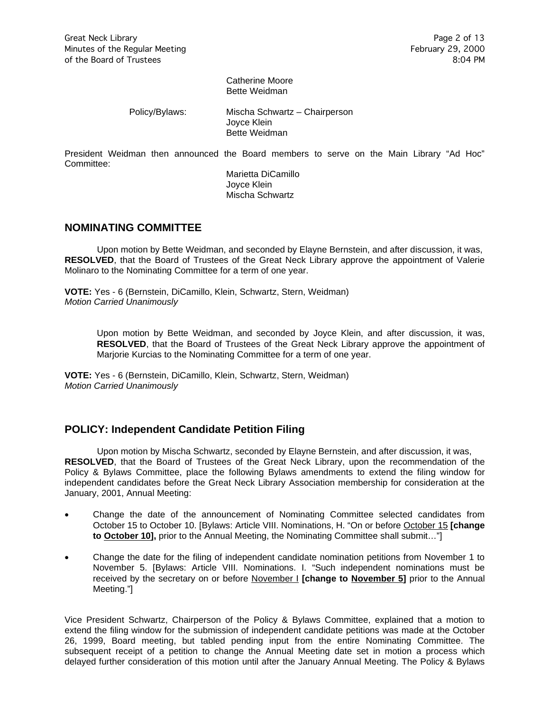Catherine Moore Bette Weidman

Policy/Bylaws: Mischa Schwartz – Chairperson Joyce Klein Bette Weidman

President Weidman then announced the Board members to serve on the Main Library "Ad Hoc" Committee:

> Marietta DiCamillo Joyce Klein Mischa Schwartz

### **NOMINATING COMMITTEE**

Upon motion by Bette Weidman, and seconded by Elayne Bernstein, and after discussion, it was, **RESOLVED**, that the Board of Trustees of the Great Neck Library approve the appointment of Valerie Molinaro to the Nominating Committee for a term of one year.

**VOTE:** Yes - 6 (Bernstein, DiCamillo, Klein, Schwartz, Stern, Weidman) *Motion Carried Unanimously*

> Upon motion by Bette Weidman, and seconded by Joyce Klein, and after discussion, it was, **RESOLVED**, that the Board of Trustees of the Great Neck Library approve the appointment of Marjorie Kurcias to the Nominating Committee for a term of one year.

**VOTE:** Yes - 6 (Bernstein, DiCamillo, Klein, Schwartz, Stern, Weidman) *Motion Carried Unanimously*

## **POLICY: Independent Candidate Petition Filing**

Upon motion by Mischa Schwartz, seconded by Elayne Bernstein, and after discussion, it was, **RESOLVED**, that the Board of Trustees of the Great Neck Library, upon the recommendation of the Policy & Bylaws Committee, place the following Bylaws amendments to extend the filing window for independent candidates before the Great Neck Library Association membership for consideration at the January, 2001, Annual Meeting:

- Change the date of the announcement of Nominating Committee selected candidates from October 15 to October 10. [Bylaws: Article VIII. Nominations, H. "On or before October 15 **[change**  to October 10], prior to the Annual Meeting, the Nominating Committee shall submit..."]
- Change the date for the filing of independent candidate nomination petitions from November 1 to November 5. [Bylaws: Article VIII. Nominations. I. "Such independent nominations must be received by the secretary on or before November I **[change to November 5]** prior to the Annual Meeting."]

Vice President Schwartz, Chairperson of the Policy & Bylaws Committee, explained that a motion to extend the filing window for the submission of independent candidate petitions was made at the October 26, 1999, Board meeting, but tabled pending input from the entire Nominating Committee. The subsequent receipt of a petition to change the Annual Meeting date set in motion a process which delayed further consideration of this motion until after the January Annual Meeting. The Policy & Bylaws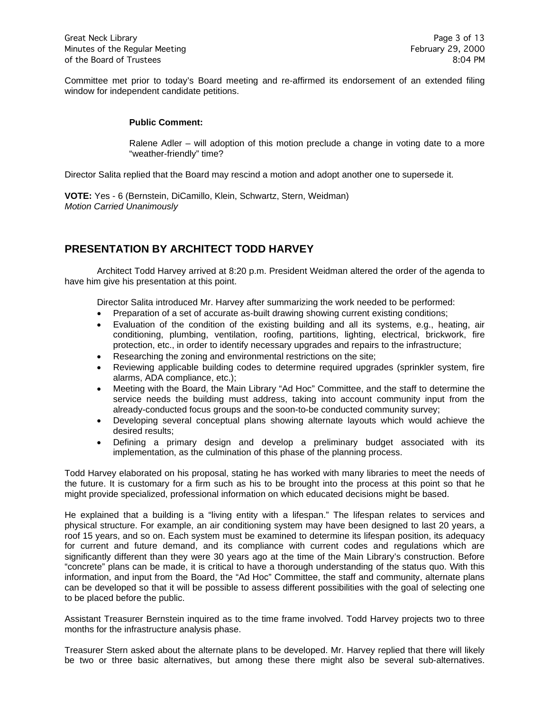Committee met prior to today's Board meeting and re-affirmed its endorsement of an extended filing window for independent candidate petitions.

#### **Public Comment:**

Ralene Adler – will adoption of this motion preclude a change in voting date to a more "weather-friendly" time?

Director Salita replied that the Board may rescind a motion and adopt another one to supersede it.

**VOTE:** Yes - 6 (Bernstein, DiCamillo, Klein, Schwartz, Stern, Weidman) *Motion Carried Unanimously*

# **PRESENTATION BY ARCHITECT TODD HARVEY**

Architect Todd Harvey arrived at 8:20 p.m. President Weidman altered the order of the agenda to have him give his presentation at this point.

Director Salita introduced Mr. Harvey after summarizing the work needed to be performed:

- Preparation of a set of accurate as-built drawing showing current existing conditions;
- Evaluation of the condition of the existing building and all its systems, e.g., heating, air conditioning, plumbing, ventilation, roofing, partitions, lighting, electrical, brickwork, fire protection, etc., in order to identify necessary upgrades and repairs to the infrastructure;
- Researching the zoning and environmental restrictions on the site;
- Reviewing applicable building codes to determine required upgrades (sprinkler system, fire alarms, ADA compliance, etc.);
- Meeting with the Board, the Main Library "Ad Hoc" Committee, and the staff to determine the service needs the building must address, taking into account community input from the already-conducted focus groups and the soon-to-be conducted community survey;
- Developing several conceptual plans showing alternate layouts which would achieve the desired results;
- Defining a primary design and develop a preliminary budget associated with its implementation, as the culmination of this phase of the planning process.

Todd Harvey elaborated on his proposal, stating he has worked with many libraries to meet the needs of the future. It is customary for a firm such as his to be brought into the process at this point so that he might provide specialized, professional information on which educated decisions might be based.

He explained that a building is a "living entity with a lifespan." The lifespan relates to services and physical structure. For example, an air conditioning system may have been designed to last 20 years, a roof 15 years, and so on. Each system must be examined to determine its lifespan position, its adequacy for current and future demand, and its compliance with current codes and regulations which are significantly different than they were 30 years ago at the time of the Main Library's construction. Before "concrete" plans can be made, it is critical to have a thorough understanding of the status quo. With this information, and input from the Board, the "Ad Hoc" Committee, the staff and community, alternate plans can be developed so that it will be possible to assess different possibilities with the goal of selecting one to be placed before the public.

Assistant Treasurer Bernstein inquired as to the time frame involved. Todd Harvey projects two to three months for the infrastructure analysis phase.

Treasurer Stern asked about the alternate plans to be developed. Mr. Harvey replied that there will likely be two or three basic alternatives, but among these there might also be several sub-alternatives.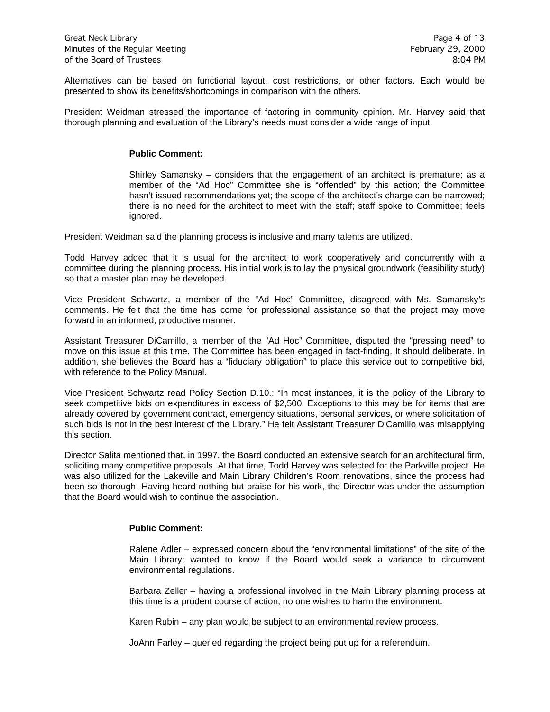Alternatives can be based on functional layout, cost restrictions, or other factors. Each would be presented to show its benefits/shortcomings in comparison with the others.

President Weidman stressed the importance of factoring in community opinion. Mr. Harvey said that thorough planning and evaluation of the Library's needs must consider a wide range of input.

#### **Public Comment:**

Shirley Samansky – considers that the engagement of an architect is premature; as a member of the "Ad Hoc" Committee she is "offended" by this action; the Committee hasn't issued recommendations yet; the scope of the architect's charge can be narrowed; there is no need for the architect to meet with the staff; staff spoke to Committee; feels ignored.

President Weidman said the planning process is inclusive and many talents are utilized.

Todd Harvey added that it is usual for the architect to work cooperatively and concurrently with a committee during the planning process. His initial work is to lay the physical groundwork (feasibility study) so that a master plan may be developed.

Vice President Schwartz, a member of the "Ad Hoc" Committee, disagreed with Ms. Samansky's comments. He felt that the time has come for professional assistance so that the project may move forward in an informed, productive manner.

Assistant Treasurer DiCamillo, a member of the "Ad Hoc" Committee, disputed the "pressing need" to move on this issue at this time. The Committee has been engaged in fact-finding. It should deliberate. In addition, she believes the Board has a "fiduciary obligation" to place this service out to competitive bid, with reference to the Policy Manual.

Vice President Schwartz read Policy Section D.10.: "In most instances, it is the policy of the Library to seek competitive bids on expenditures in excess of \$2,500. Exceptions to this may be for items that are already covered by government contract, emergency situations, personal services, or where solicitation of such bids is not in the best interest of the Library." He felt Assistant Treasurer DiCamillo was misapplying this section.

Director Salita mentioned that, in 1997, the Board conducted an extensive search for an architectural firm, soliciting many competitive proposals. At that time, Todd Harvey was selected for the Parkville project. He was also utilized for the Lakeville and Main Library Children's Room renovations, since the process had been so thorough. Having heard nothing but praise for his work, the Director was under the assumption that the Board would wish to continue the association.

#### **Public Comment:**

Ralene Adler – expressed concern about the "environmental limitations" of the site of the Main Library; wanted to know if the Board would seek a variance to circumvent environmental regulations.

Barbara Zeller – having a professional involved in the Main Library planning process at this time is a prudent course of action; no one wishes to harm the environment.

Karen Rubin – any plan would be subject to an environmental review process.

JoAnn Farley – queried regarding the project being put up for a referendum.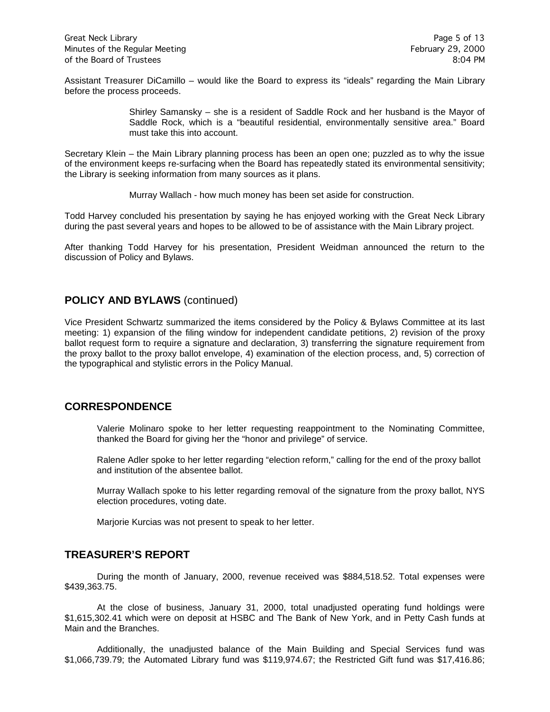Assistant Treasurer DiCamillo – would like the Board to express its "ideals" regarding the Main Library before the process proceeds.

> Shirley Samansky – she is a resident of Saddle Rock and her husband is the Mayor of Saddle Rock, which is a "beautiful residential, environmentally sensitive area." Board must take this into account.

Secretary Klein – the Main Library planning process has been an open one; puzzled as to why the issue of the environment keeps re-surfacing when the Board has repeatedly stated its environmental sensitivity; the Library is seeking information from many sources as it plans.

Murray Wallach - how much money has been set aside for construction.

Todd Harvey concluded his presentation by saying he has enjoyed working with the Great Neck Library during the past several years and hopes to be allowed to be of assistance with the Main Library project.

After thanking Todd Harvey for his presentation, President Weidman announced the return to the discussion of Policy and Bylaws.

# **POLICY AND BYLAWS** (continued)

Vice President Schwartz summarized the items considered by the Policy & Bylaws Committee at its last meeting: 1) expansion of the filing window for independent candidate petitions, 2) revision of the proxy ballot request form to require a signature and declaration, 3) transferring the signature requirement from the proxy ballot to the proxy ballot envelope, 4) examination of the election process, and, 5) correction of the typographical and stylistic errors in the Policy Manual.

## **CORRESPONDENCE**

Valerie Molinaro spoke to her letter requesting reappointment to the Nominating Committee, thanked the Board for giving her the "honor and privilege" of service.

Ralene Adler spoke to her letter regarding "election reform," calling for the end of the proxy ballot and institution of the absentee ballot.

Murray Wallach spoke to his letter regarding removal of the signature from the proxy ballot, NYS election procedures, voting date.

Marjorie Kurcias was not present to speak to her letter.

## **TREASURER'S REPORT**

During the month of January, 2000, revenue received was \$884,518.52. Total expenses were \$439,363.75.

At the close of business, January 31, 2000, total unadjusted operating fund holdings were \$1,615,302.41 which were on deposit at HSBC and The Bank of New York, and in Petty Cash funds at Main and the Branches.

Additionally, the unadjusted balance of the Main Building and Special Services fund was \$1,066,739.79; the Automated Library fund was \$119,974.67; the Restricted Gift fund was \$17,416.86;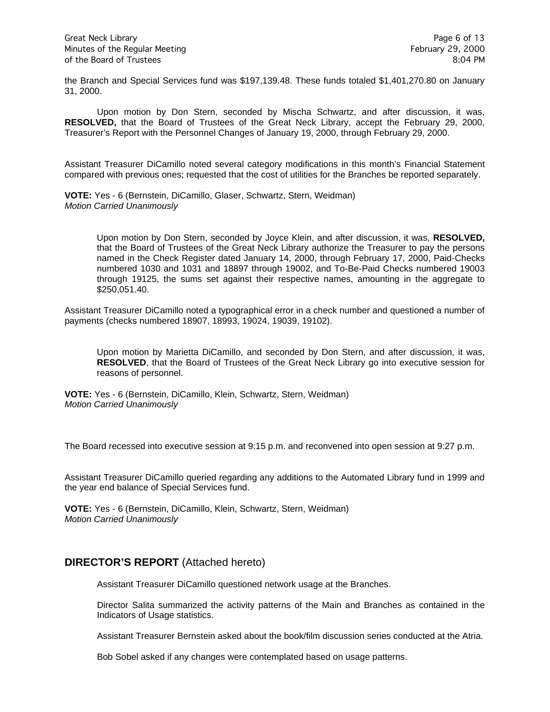the Branch and Special Services fund was \$197,139.48. These funds totaled \$1,401,270.80 on January 31, 2000.

Upon motion by Don Stern, seconded by Mischa Schwartz, and after discussion, it was, **RESOLVED,** that the Board of Trustees of the Great Neck Library, accept the February 29, 2000, Treasurer's Report with the Personnel Changes of January 19, 2000, through February 29, 2000.

Assistant Treasurer DiCamillo noted several category modifications in this month's Financial Statement compared with previous ones; requested that the cost of utilities for the Branches be reported separately.

**VOTE:** Yes - 6 (Bernstein, DiCamillo, Glaser, Schwartz, Stern, Weidman) *Motion Carried Unanimously*

> Upon motion by Don Stern, seconded by Joyce Klein, and after discussion, it was, **RESOLVED,**  that the Board of Trustees of the Great Neck Library authorize the Treasurer to pay the persons named in the Check Register dated January 14, 2000, through February 17, 2000, Paid-Checks numbered 1030 and 1031 and 18897 through 19002, and To-Be-Paid Checks numbered 19003 through 19125, the sums set against their respective names, amounting in the aggregate to \$250,051.40.

Assistant Treasurer DiCamillo noted a typographical error in a check number and questioned a number of payments (checks numbered 18907, 18993, 19024, 19039, 19102).

Upon motion by Marietta DiCamillo, and seconded by Don Stern, and after discussion, it was, **RESOLVED**, that the Board of Trustees of the Great Neck Library go into executive session for reasons of personnel.

**VOTE:** Yes - 6 (Bernstein, DiCamillo, Klein, Schwartz, Stern, Weidman) *Motion Carried Unanimously*

The Board recessed into executive session at 9:15 p.m. and reconvened into open session at 9:27 p.m.

Assistant Treasurer DiCamillo queried regarding any additions to the Automated Library fund in 1999 and the year end balance of Special Services fund.

**VOTE:** Yes - 6 (Bernstein, DiCamillo, Klein, Schwartz, Stern, Weidman) *Motion Carried Unanimously*

## **DIRECTOR'S REPORT** (Attached hereto)

Assistant Treasurer DiCamillo questioned network usage at the Branches.

Director Salita summarized the activity patterns of the Main and Branches as contained in the Indicators of Usage statistics.

Assistant Treasurer Bernstein asked about the book/film discussion series conducted at the Atria.

Bob Sobel asked if any changes were contemplated based on usage patterns.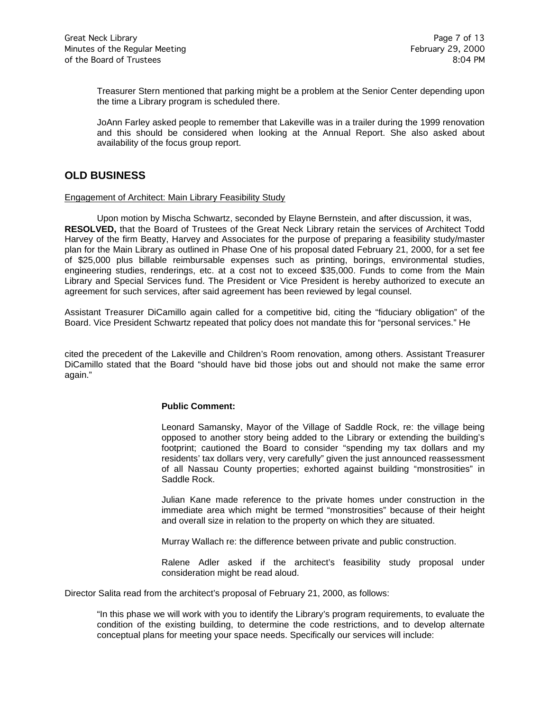Treasurer Stern mentioned that parking might be a problem at the Senior Center depending upon the time a Library program is scheduled there.

JoAnn Farley asked people to remember that Lakeville was in a trailer during the 1999 renovation and this should be considered when looking at the Annual Report. She also asked about availability of the focus group report.

## **OLD BUSINESS**

#### Engagement of Architect: Main Library Feasibility Study

Upon motion by Mischa Schwartz, seconded by Elayne Bernstein, and after discussion, it was, **RESOLVED,** that the Board of Trustees of the Great Neck Library retain the services of Architect Todd Harvey of the firm Beatty, Harvey and Associates for the purpose of preparing a feasibility study/master plan for the Main Library as outlined in Phase One of his proposal dated February 21, 2000, for a set fee of \$25,000 plus billable reimbursable expenses such as printing, borings, environmental studies, engineering studies, renderings, etc. at a cost not to exceed \$35,000. Funds to come from the Main Library and Special Services fund. The President or Vice President is hereby authorized to execute an agreement for such services, after said agreement has been reviewed by legal counsel.

Assistant Treasurer DiCamillo again called for a competitive bid, citing the "fiduciary obligation" of the Board. Vice President Schwartz repeated that policy does not mandate this for "personal services." He

cited the precedent of the Lakeville and Children's Room renovation, among others. Assistant Treasurer DiCamillo stated that the Board "should have bid those jobs out and should not make the same error again."

#### **Public Comment:**

Leonard Samansky, Mayor of the Village of Saddle Rock, re: the village being opposed to another story being added to the Library or extending the building's footprint; cautioned the Board to consider "spending my tax dollars and my residents' tax dollars very, very carefully" given the just announced reassessment of all Nassau County properties; exhorted against building "monstrosities" in Saddle Rock.

Julian Kane made reference to the private homes under construction in the immediate area which might be termed "monstrosities" because of their height and overall size in relation to the property on which they are situated.

Murray Wallach re: the difference between private and public construction.

Ralene Adler asked if the architect's feasibility study proposal under consideration might be read aloud.

Director Salita read from the architect's proposal of February 21, 2000, as follows:

"In this phase we will work with you to identify the Library's program requirements, to evaluate the condition of the existing building, to determine the code restrictions, and to develop alternate conceptual plans for meeting your space needs. Specifically our services will include: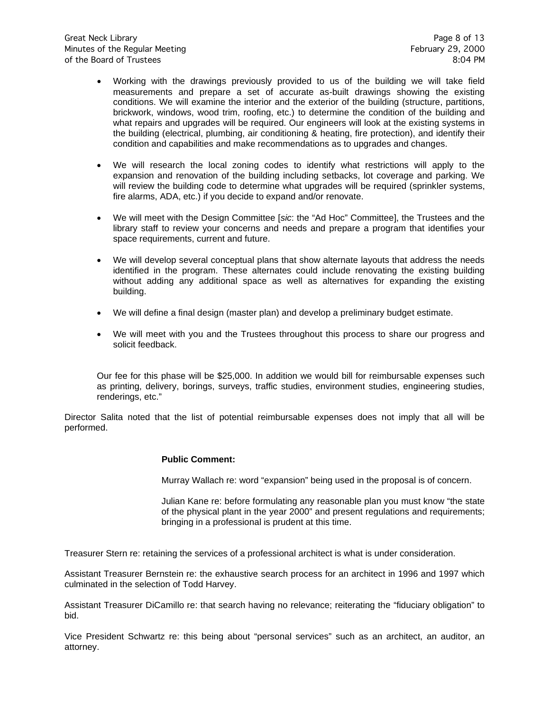- Working with the drawings previously provided to us of the building we will take field measurements and prepare a set of accurate as-built drawings showing the existing conditions. We will examine the interior and the exterior of the building (structure, partitions, brickwork, windows, wood trim, roofing, etc.) to determine the condition of the building and what repairs and upgrades will be required. Our engineers will look at the existing systems in the building (electrical, plumbing, air conditioning & heating, fire protection), and identify their condition and capabilities and make recommendations as to upgrades and changes.
- We will research the local zoning codes to identify what restrictions will apply to the expansion and renovation of the building including setbacks, lot coverage and parking. We will review the building code to determine what upgrades will be required (sprinkler systems, fire alarms, ADA, etc.) if you decide to expand and/or renovate.
- We will meet with the Design Committee [*sic*: the "Ad Hoc" Committee], the Trustees and the library staff to review your concerns and needs and prepare a program that identifies your space requirements, current and future.
- We will develop several conceptual plans that show alternate layouts that address the needs identified in the program. These alternates could include renovating the existing building without adding any additional space as well as alternatives for expanding the existing building.
- We will define a final design (master plan) and develop a preliminary budget estimate.
- We will meet with you and the Trustees throughout this process to share our progress and solicit feedback.

Our fee for this phase will be \$25,000. In addition we would bill for reimbursable expenses such as printing, delivery, borings, surveys, traffic studies, environment studies, engineering studies, renderings, etc."

Director Salita noted that the list of potential reimbursable expenses does not imply that all will be performed.

#### **Public Comment:**

Murray Wallach re: word "expansion" being used in the proposal is of concern.

Julian Kane re: before formulating any reasonable plan you must know "the state of the physical plant in the year 2000" and present regulations and requirements; bringing in a professional is prudent at this time.

Treasurer Stern re: retaining the services of a professional architect is what is under consideration.

Assistant Treasurer Bernstein re: the exhaustive search process for an architect in 1996 and 1997 which culminated in the selection of Todd Harvey.

Assistant Treasurer DiCamillo re: that search having no relevance; reiterating the "fiduciary obligation" to bid.

Vice President Schwartz re: this being about "personal services" such as an architect, an auditor, an attorney.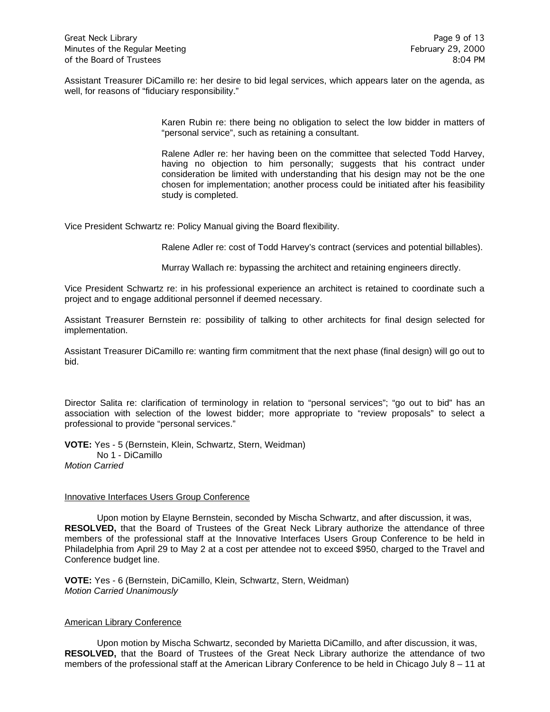Assistant Treasurer DiCamillo re: her desire to bid legal services, which appears later on the agenda, as well, for reasons of "fiduciary responsibility."

> Karen Rubin re: there being no obligation to select the low bidder in matters of "personal service", such as retaining a consultant.

> Ralene Adler re: her having been on the committee that selected Todd Harvey, having no objection to him personally; suggests that his contract under consideration be limited with understanding that his design may not be the one chosen for implementation; another process could be initiated after his feasibility study is completed.

Vice President Schwartz re: Policy Manual giving the Board flexibility.

Ralene Adler re: cost of Todd Harvey's contract (services and potential billables).

Murray Wallach re: bypassing the architect and retaining engineers directly.

Vice President Schwartz re: in his professional experience an architect is retained to coordinate such a project and to engage additional personnel if deemed necessary.

Assistant Treasurer Bernstein re: possibility of talking to other architects for final design selected for implementation.

Assistant Treasurer DiCamillo re: wanting firm commitment that the next phase (final design) will go out to bid.

Director Salita re: clarification of terminology in relation to "personal services"; "go out to bid" has an association with selection of the lowest bidder; more appropriate to "review proposals" to select a professional to provide "personal services."

**VOTE:** Yes - 5 (Bernstein, Klein, Schwartz, Stern, Weidman) No 1 - DiCamillo *Motion Carried* 

#### **Innovative Interfaces Users Group Conference**

Upon motion by Elayne Bernstein, seconded by Mischa Schwartz, and after discussion, it was, **RESOLVED,** that the Board of Trustees of the Great Neck Library authorize the attendance of three members of the professional staff at the Innovative Interfaces Users Group Conference to be held in Philadelphia from April 29 to May 2 at a cost per attendee not to exceed \$950, charged to the Travel and Conference budget line.

**VOTE:** Yes - 6 (Bernstein, DiCamillo, Klein, Schwartz, Stern, Weidman) *Motion Carried Unanimously*

#### American Library Conference

Upon motion by Mischa Schwartz, seconded by Marietta DiCamillo, and after discussion, it was, **RESOLVED,** that the Board of Trustees of the Great Neck Library authorize the attendance of two members of the professional staff at the American Library Conference to be held in Chicago July 8 – 11 at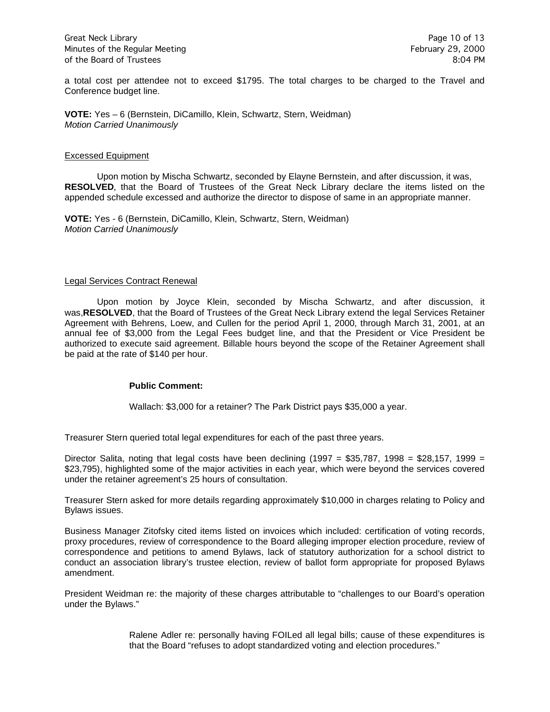a total cost per attendee not to exceed \$1795. The total charges to be charged to the Travel and Conference budget line.

**VOTE:** Yes – 6 (Bernstein, DiCamillo, Klein, Schwartz, Stern, Weidman) *Motion Carried Unanimously*

#### Excessed Equipment

Upon motion by Mischa Schwartz, seconded by Elayne Bernstein, and after discussion, it was, **RESOLVED**, that the Board of Trustees of the Great Neck Library declare the items listed on the appended schedule excessed and authorize the director to dispose of same in an appropriate manner.

**VOTE:** Yes - 6 (Bernstein, DiCamillo, Klein, Schwartz, Stern, Weidman) *Motion Carried Unanimously*

#### Legal Services Contract Renewal

Upon motion by Joyce Klein, seconded by Mischa Schwartz, and after discussion, it was,**RESOLVED**, that the Board of Trustees of the Great Neck Library extend the legal Services Retainer Agreement with Behrens, Loew, and Cullen for the period April 1, 2000, through March 31, 2001, at an annual fee of \$3,000 from the Legal Fees budget line, and that the President or Vice President be authorized to execute said agreement. Billable hours beyond the scope of the Retainer Agreement shall be paid at the rate of \$140 per hour.

#### **Public Comment:**

Wallach: \$3,000 for a retainer? The Park District pays \$35,000 a year.

Treasurer Stern queried total legal expenditures for each of the past three years.

Director Salita, noting that legal costs have been declining (1997 = \$35,787, 1998 = \$28,157, 1999 = \$23,795), highlighted some of the major activities in each year, which were beyond the services covered under the retainer agreement's 25 hours of consultation.

Treasurer Stern asked for more details regarding approximately \$10,000 in charges relating to Policy and Bylaws issues.

Business Manager Zitofsky cited items listed on invoices which included: certification of voting records, proxy procedures, review of correspondence to the Board alleging improper election procedure, review of correspondence and petitions to amend Bylaws, lack of statutory authorization for a school district to conduct an association library's trustee election, review of ballot form appropriate for proposed Bylaws amendment.

President Weidman re: the majority of these charges attributable to "challenges to our Board's operation under the Bylaws."

> Ralene Adler re: personally having FOILed all legal bills; cause of these expenditures is that the Board "refuses to adopt standardized voting and election procedures."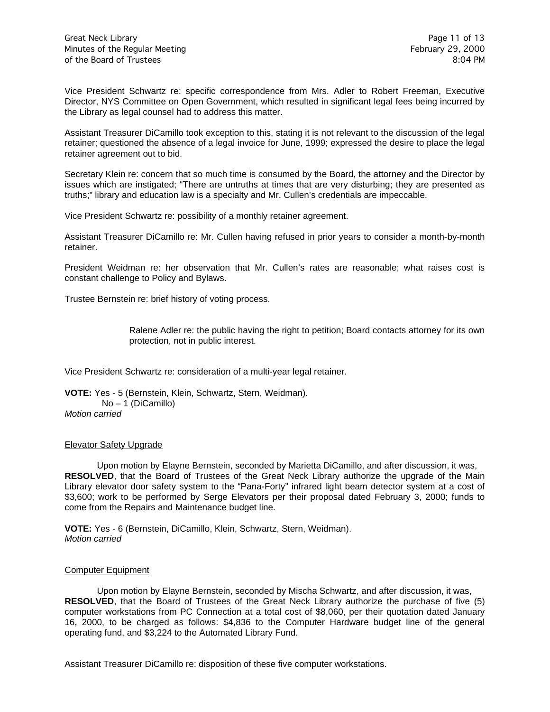Vice President Schwartz re: specific correspondence from Mrs. Adler to Robert Freeman, Executive Director, NYS Committee on Open Government, which resulted in significant legal fees being incurred by the Library as legal counsel had to address this matter.

Assistant Treasurer DiCamillo took exception to this, stating it is not relevant to the discussion of the legal retainer; questioned the absence of a legal invoice for June, 1999; expressed the desire to place the legal retainer agreement out to bid.

Secretary Klein re: concern that so much time is consumed by the Board, the attorney and the Director by issues which are instigated; "There are untruths at times that are very disturbing; they are presented as truths;" library and education law is a specialty and Mr. Cullen's credentials are impeccable.

Vice President Schwartz re: possibility of a monthly retainer agreement.

Assistant Treasurer DiCamillo re: Mr. Cullen having refused in prior years to consider a month-by-month retainer.

President Weidman re: her observation that Mr. Cullen's rates are reasonable; what raises cost is constant challenge to Policy and Bylaws.

Trustee Bernstein re: brief history of voting process.

Ralene Adler re: the public having the right to petition; Board contacts attorney for its own protection, not in public interest.

Vice President Schwartz re: consideration of a multi-year legal retainer.

**VOTE:** Yes - 5 (Bernstein, Klein, Schwartz, Stern, Weidman). No – 1 (DiCamillo) *Motion carried*

#### Elevator Safety Upgrade

Upon motion by Elayne Bernstein, seconded by Marietta DiCamillo, and after discussion, it was, **RESOLVED**, that the Board of Trustees of the Great Neck Library authorize the upgrade of the Main Library elevator door safety system to the "Pana-Forty" infrared light beam detector system at a cost of \$3,600; work to be performed by Serge Elevators per their proposal dated February 3, 2000; funds to come from the Repairs and Maintenance budget line.

**VOTE:** Yes - 6 (Bernstein, DiCamillo, Klein, Schwartz, Stern, Weidman). *Motion carried*

#### Computer Equipment

Upon motion by Elayne Bernstein, seconded by Mischa Schwartz, and after discussion, it was, **RESOLVED**, that the Board of Trustees of the Great Neck Library authorize the purchase of five (5) computer workstations from PC Connection at a total cost of \$8,060, per their quotation dated January 16, 2000, to be charged as follows: \$4,836 to the Computer Hardware budget line of the general operating fund, and \$3,224 to the Automated Library Fund.

Assistant Treasurer DiCamillo re: disposition of these five computer workstations.